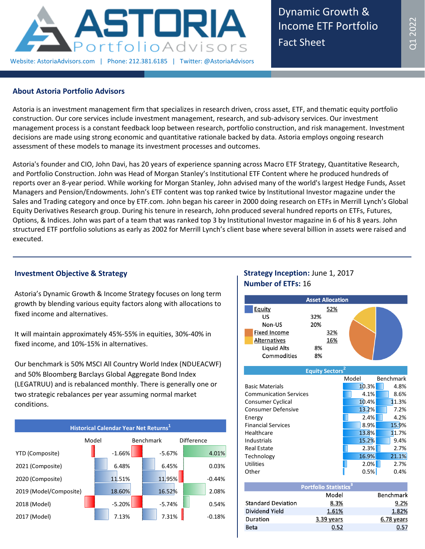

Dynamic Growth & Income ETF Portfolio Fact Sheet

# **About Astoria Portfolio Advisors**

Astoria is an investment management firm that specializes in research driven, cross asset, ETF, and thematic equity portfolio construction. Our core services include investment management, research, and sub-advisory services. Our investment management process is a constant feedback loop between research, portfolio construction, and risk management. Investment decisions are made using strong economic and quantitative rationale backed by data. Astoria employs ongoing research assessment of these models to manage its investment processes and outcomes.

Astoria's founder and CIO, John Davi, has 20 years of experience spanning across Macro ETF Strategy, Quantitative Research, and Portfolio Construction. John was Head of Morgan Stanley's Institutional ETF Content where he produced hundreds of reports over an 8-year period. While working for Morgan Stanley, John advised many of the world's largest Hedge Funds, Asset Managers and Pension/Endowments. John's ETF content was top ranked twice by Institutional Investor magazine under the Sales and Trading category and once by ETF.com. John began his career in 2000 doing research on ETFs in Merrill Lynch's Global Equity Derivatives Research group. During his tenure in research, John produced several hundred reports on ETFs, Futures, Options, & Indices. John was part of a team that was ranked top 3 by Institutional Investor magazine in 6 of his 8 years. John structured ETF portfolio solutions as early as 2002 for Merrill Lynch's client base where several billion in assets were raised and executed.

### **Investment Objective & Strategy**

Astoria's Dynamic Growth & Income Strategy focuses on long term growth by blending various equity factors along with allocations to fixed income and alternatives.

It will maintain approximately 45%-55% in equities, 30%-40% in fixed income, and 10%-15% in alternatives.

Our benchmark is 50% MSCI All Country World Index (NDUEACWF) and 50% Bloomberg Barclays Global Aggregate Bond Index (LEGATRUU) and is rebalanced monthly. There is generally one or two strategic rebalances per year assuming normal market conditions.



# **Strategy Inception:** June 1, 2017 **Number of ETFs:** 16



**Equity Sectors<sup>2</sup>**

|                               | Model | Benchmark |
|-------------------------------|-------|-----------|
| <b>Basic Materials</b>        | 10.3% | 4.8%      |
| <b>Communication Services</b> | 4.1%  | 8.6%      |
| Consumer Cyclical             | 10.4% | 11.3%     |
| <b>Consumer Defensive</b>     | 13.2% | 7.2%      |
| Energy                        | 2.4%  | 4.2%      |
| <b>Financial Services</b>     | 8.9%  | 15.9%     |
| Healthcare                    | 13.8% | 11.7%     |
| Industrials                   | 15.2% | 9.4%      |
| <b>Real Estate</b>            | 2.3%  | 2.7%      |
| Technology                    | 16.9% | 21.1%     |
| <b>Utilities</b>              | 2.0%  | 2.7%      |
| Other                         | 0.5%  | 0.4%      |

|                           | <b>Portfolio Statistics<sup>3</sup></b> |                  |
|---------------------------|-----------------------------------------|------------------|
|                           | Model                                   | <b>Benchmark</b> |
| <b>Standard Deviation</b> | 8.3%                                    | 9.2%             |
| Dividend Yield            | 1.61%                                   | 1.82%            |
| Duration                  | 3.39 years                              | 6.78 years       |
| Beta                      | በ 52                                    | 0.57             |